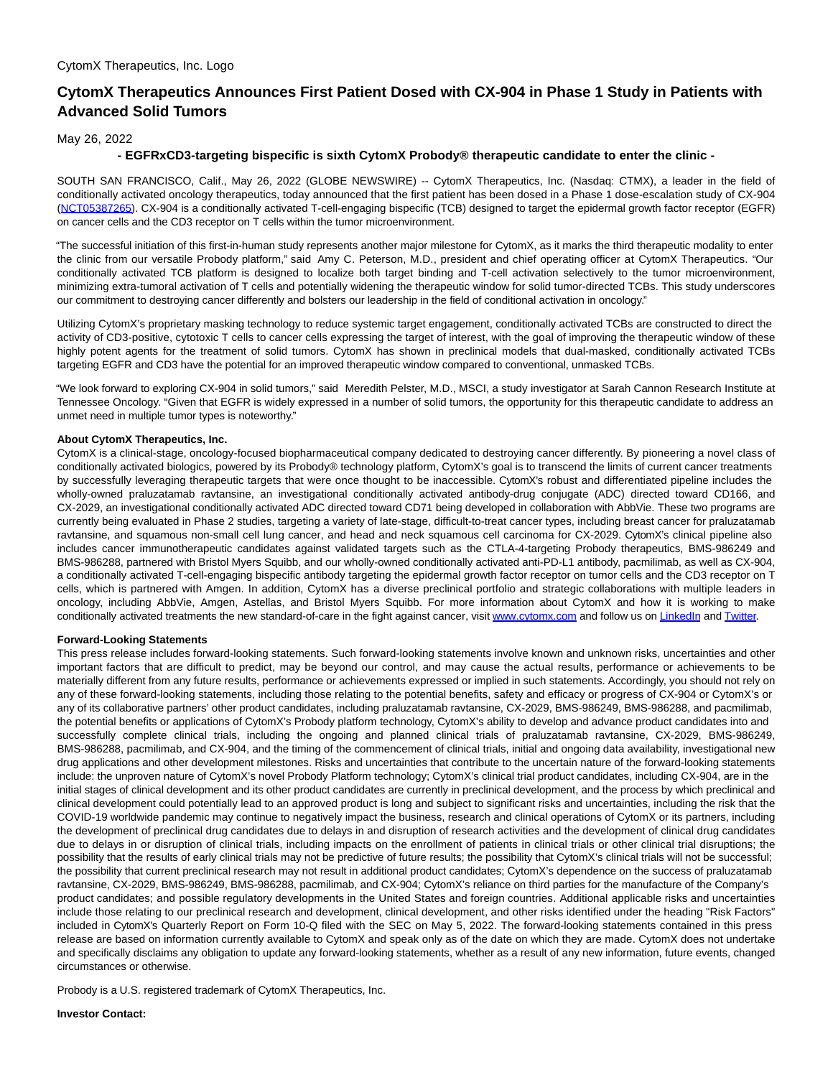## **CytomX Therapeutics Announces First Patient Dosed with CX-904 in Phase 1 Study in Patients with Advanced Solid Tumors**

May 26, 2022

## **- EGFRxCD3-targeting bispecific is sixth CytomX Probody® therapeutic candidate to enter the clinic -**

SOUTH SAN FRANCISCO, Calif., May 26, 2022 (GLOBE NEWSWIRE) -- CytomX Therapeutics, Inc. (Nasdaq: CTMX), a leader in the field of conditionally activated oncology therapeutics, today announced that the first patient has been dosed in a Phase 1 dose-escalation study of CX-904 [\(NCT05387265\).](https://www.globenewswire.com/Tracker?data=L1teBSwGr1LWqKpUR6AO-reEqEXR64AW9rWfLdOYXgnKSCr3sOkTkY0nW7MFwParC4jb9Q01NOIpwsOLCEmgX9H6hNAd9NynBnoEoobRMGJbvNSKcrCc7xJ8uiYBs_cr) CX-904 is a conditionally activated T-cell-engaging bispecific (TCB) designed to target the epidermal growth factor receptor (EGFR) on cancer cells and the CD3 receptor on T cells within the tumor microenvironment.

"The successful initiation of this first-in-human study represents another major milestone for CytomX, as it marks the third therapeutic modality to enter the clinic from our versatile Probody platform," said Amy C. Peterson, M.D., president and chief operating officer at CytomX Therapeutics. "Our conditionally activated TCB platform is designed to localize both target binding and T-cell activation selectively to the tumor microenvironment, minimizing extra-tumoral activation of T cells and potentially widening the therapeutic window for solid tumor-directed TCBs. This study underscores our commitment to destroying cancer differently and bolsters our leadership in the field of conditional activation in oncology."

Utilizing CytomX's proprietary masking technology to reduce systemic target engagement, conditionally activated TCBs are constructed to direct the activity of CD3-positive, cytotoxic T cells to cancer cells expressing the target of interest, with the goal of improving the therapeutic window of these highly potent agents for the treatment of solid tumors. CytomX has shown in preclinical models that dual-masked, conditionally activated TCBs targeting EGFR and CD3 have the potential for an improved therapeutic window compared to conventional, unmasked TCBs.

"We look forward to exploring CX-904 in solid tumors," said Meredith Pelster, M.D., MSCI, a study investigator at Sarah Cannon Research Institute at Tennessee Oncology. "Given that EGFR is widely expressed in a number of solid tumors, the opportunity for this therapeutic candidate to address an unmet need in multiple tumor types is noteworthy."

## **About CytomX Therapeutics, Inc.**

CytomX is a clinical-stage, oncology-focused biopharmaceutical company dedicated to destroying cancer differently. By pioneering a novel class of conditionally activated biologics, powered by its Probody® technology platform, CytomX's goal is to transcend the limits of current cancer treatments by successfully leveraging therapeutic targets that were once thought to be inaccessible. CytomX's robust and differentiated pipeline includes the wholly-owned praluzatamab ravtansine, an investigational conditionally activated antibody-drug conjugate (ADC) directed toward CD166, and CX-2029, an investigational conditionally activated ADC directed toward CD71 being developed in collaboration with AbbVie. These two programs are currently being evaluated in Phase 2 studies, targeting a variety of late-stage, difficult-to-treat cancer types, including breast cancer for praluzatamab ravtansine, and squamous non-small cell lung cancer, and head and neck squamous cell carcinoma for CX-2029. CytomX's clinical pipeline also includes cancer immunotherapeutic candidates against validated targets such as the CTLA-4-targeting Probody therapeutics, BMS-986249 and BMS-986288, partnered with Bristol Myers Squibb, and our wholly-owned conditionally activated anti-PD-L1 antibody, pacmilimab, as well as CX-904, a conditionally activated T-cell-engaging bispecific antibody targeting the epidermal growth factor receptor on tumor cells and the CD3 receptor on T cells, which is partnered with Amgen. In addition, CytomX has a diverse preclinical portfolio and strategic collaborations with multiple leaders in oncology, including AbbVie, Amgen, Astellas, and Bristol Myers Squibb. For more information about CytomX and how it is working to make conditionally activated treatments the new standard-of-care in the fight against cancer, visi[t www.cytomx.com a](https://www.globenewswire.com/Tracker?data=oyLO0YVjHkwJVWPOBcYaIEL__N3Mjgk4pvvzxMWFCjPcB8FThxRosSUvj5gEaFmM8uyDhzjIHlzhg93UPAmpdQ==)nd follow us o[n LinkedIn a](https://www.globenewswire.com/Tracker?data=RU0gC-zlprneSMKnShnHMqS7V8kNB4pg1Zcm3-Qhx4GpyXfsjjc3OgBVxtQF-Cp7IPCEP3L-Vx2RuH4xWVtuBe75yxXnu4M3dNpKzQ0KWXV-viCBhcRusDN466fhPiHr)nd [Twitter.](https://www.globenewswire.com/Tracker?data=k0jDsDyKgLjWzXpJwQHiohTHxWt9OICtPCu8L7WEVA4o1TwTRGNTLWVgBvvR0ODoz-N0fiXAMm0mgEMAkbQ3kWppUx4pjxVqOldmefPfKpw=)

## **Forward-Looking Statements**

This press release includes forward-looking statements. Such forward-looking statements involve known and unknown risks, uncertainties and other important factors that are difficult to predict, may be beyond our control, and may cause the actual results, performance or achievements to be materially different from any future results, performance or achievements expressed or implied in such statements. Accordingly, you should not rely on any of these forward-looking statements, including those relating to the potential benefits, safety and efficacy or progress of CX-904 or CytomX's or any of its collaborative partners' other product candidates, including praluzatamab ravtansine, CX-2029, BMS-986249, BMS-986288, and pacmilimab, the potential benefits or applications of CytomX's Probody platform technology, CytomX's ability to develop and advance product candidates into and successfully complete clinical trials, including the ongoing and planned clinical trials of praluzatamab ravtansine, CX-2029, BMS-986249, BMS-986288, pacmilimab, and CX-904, and the timing of the commencement of clinical trials, initial and ongoing data availability, investigational new drug applications and other development milestones. Risks and uncertainties that contribute to the uncertain nature of the forward-looking statements include: the unproven nature of CytomX's novel Probody Platform technology; CytomX's clinical trial product candidates, including CX-904, are in the initial stages of clinical development and its other product candidates are currently in preclinical development, and the process by which preclinical and clinical development could potentially lead to an approved product is long and subject to significant risks and uncertainties, including the risk that the COVID-19 worldwide pandemic may continue to negatively impact the business, research and clinical operations of CytomX or its partners, including the development of preclinical drug candidates due to delays in and disruption of research activities and the development of clinical drug candidates due to delays in or disruption of clinical trials, including impacts on the enrollment of patients in clinical trials or other clinical trial disruptions; the possibility that the results of early clinical trials may not be predictive of future results; the possibility that CytomX's clinical trials will not be successful; the possibility that current preclinical research may not result in additional product candidates; CytomX's dependence on the success of praluzatamab ravtansine, CX-2029, BMS-986249, BMS-986288, pacmilimab, and CX-904; CytomX's reliance on third parties for the manufacture of the Company's product candidates; and possible regulatory developments in the United States and foreign countries. Additional applicable risks and uncertainties include those relating to our preclinical research and development, clinical development, and other risks identified under the heading "Risk Factors" included in CytomX's Quarterly Report on Form 10-Q filed with the SEC on May 5, 2022. The forward-looking statements contained in this press release are based on information currently available to CytomX and speak only as of the date on which they are made. CytomX does not undertake and specifically disclaims any obligation to update any forward-looking statements, whether as a result of any new information, future events, changed circumstances or otherwise.

Probody is a U.S. registered trademark of CytomX Therapeutics, Inc.

**Investor Contact:**